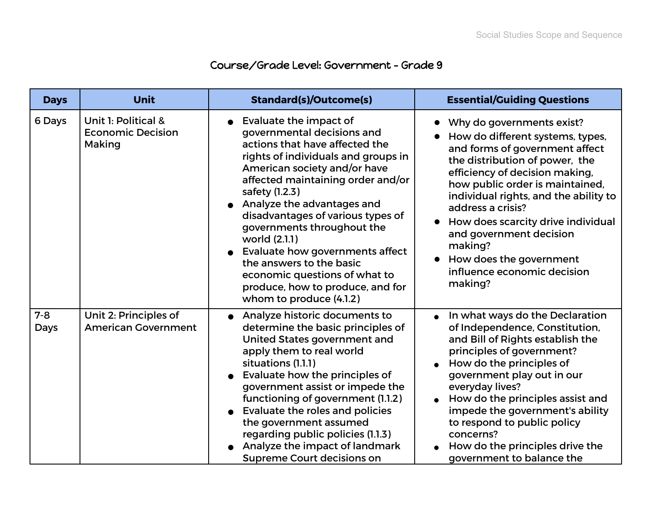## Course/Grade Level: Government - Grade 9

| <b>Days</b>     | <b>Unit</b>                                               | <b>Standard(s)/Outcome(s)</b>                                                                                                                                                                                                                                                                                                                                                                                                                                                                         | <b>Essential/Guiding Questions</b>                                                                                                                                                                                                                                                                                                                                                                                    |
|-----------------|-----------------------------------------------------------|-------------------------------------------------------------------------------------------------------------------------------------------------------------------------------------------------------------------------------------------------------------------------------------------------------------------------------------------------------------------------------------------------------------------------------------------------------------------------------------------------------|-----------------------------------------------------------------------------------------------------------------------------------------------------------------------------------------------------------------------------------------------------------------------------------------------------------------------------------------------------------------------------------------------------------------------|
| 6 Days          | Unit 1: Political &<br><b>Economic Decision</b><br>Making | Evaluate the impact of<br>governmental decisions and<br>actions that have affected the<br>rights of individuals and groups in<br>American society and/or have<br>affected maintaining order and/or<br>safety (1.2.3)<br>Analyze the advantages and<br>disadvantages of various types of<br>governments throughout the<br>world (2.1.1)<br>Evaluate how governments affect<br>the answers to the basic<br>economic questions of what to<br>produce, how to produce, and for<br>whom to produce (4.1.2) | Why do governments exist?<br>How do different systems, types,<br>and forms of government affect<br>the distribution of power, the<br>efficiency of decision making,<br>how public order is maintained,<br>individual rights, and the ability to<br>address a crisis?<br>How does scarcity drive individual<br>and government decision<br>making?<br>How does the government<br>influence economic decision<br>making? |
| $7 - 8$<br>Days | Unit 2: Principles of<br><b>American Government</b>       | Analyze historic documents to<br>determine the basic principles of<br>United States government and<br>apply them to real world<br>situations (1.1.1)<br>Evaluate how the principles of<br>government assist or impede the<br>functioning of government (1.1.2)<br>Evaluate the roles and policies<br>the government assumed<br>regarding public policies (1.1.3)<br>Analyze the impact of landmark<br><b>Supreme Court decisions on</b>                                                               | In what ways do the Declaration<br>of Independence, Constitution,<br>and Bill of Rights establish the<br>principles of government?<br>How do the principles of<br>government play out in our<br>everyday lives?<br>How do the principles assist and<br>impede the government's ability<br>to respond to public policy<br>concerns?<br>How do the principles drive the<br>government to balance the                    |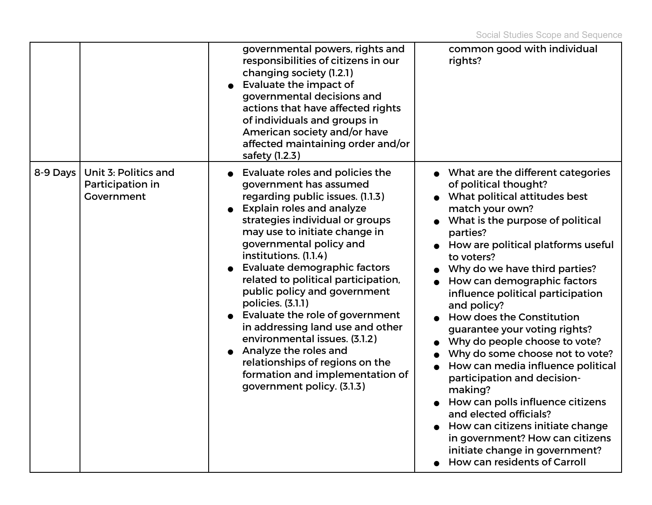|          |                                                        | governmental powers, rights and<br>responsibilities of citizens in our<br>changing society (1.2.1)<br>Evaluate the impact of<br>governmental decisions and<br>actions that have affected rights<br>of individuals and groups in<br>American society and/or have<br>affected maintaining order and/or<br>safety (1.2.3)                                                                                                                                                                                                                                                                                                            | common good with individual<br>rights?                                                                                                                                                                                                                                                                                                                                                                                                                                                                                                                                                                                                                                                                                                                                  |
|----------|--------------------------------------------------------|-----------------------------------------------------------------------------------------------------------------------------------------------------------------------------------------------------------------------------------------------------------------------------------------------------------------------------------------------------------------------------------------------------------------------------------------------------------------------------------------------------------------------------------------------------------------------------------------------------------------------------------|-------------------------------------------------------------------------------------------------------------------------------------------------------------------------------------------------------------------------------------------------------------------------------------------------------------------------------------------------------------------------------------------------------------------------------------------------------------------------------------------------------------------------------------------------------------------------------------------------------------------------------------------------------------------------------------------------------------------------------------------------------------------------|
| 8-9 Days | Unit 3: Politics and<br>Participation in<br>Government | <b>Evaluate roles and policies the</b><br>government has assumed<br>regarding public issues. (1.1.3)<br><b>Explain roles and analyze</b><br>strategies individual or groups<br>may use to initiate change in<br>governmental policy and<br>institutions. (1.1.4)<br>Evaluate demographic factors<br>related to political participation,<br>public policy and government<br>policies. (3.1.1)<br>Evaluate the role of government<br>in addressing land use and other<br>environmental issues. (3.1.2)<br>Analyze the roles and<br>relationships of regions on the<br>formation and implementation of<br>government policy. (3.1.3) | • What are the different categories<br>of political thought?<br>What political attitudes best<br>match your own?<br>What is the purpose of political<br>parties?<br>How are political platforms useful<br>to voters?<br>Why do we have third parties?<br>How can demographic factors<br>influence political participation<br>and policy?<br><b>How does the Constitution</b><br>guarantee your voting rights?<br>Why do people choose to vote?<br>Why do some choose not to vote?<br>How can media influence political<br>participation and decision-<br>making?<br>How can polls influence citizens<br>and elected officials?<br>How can citizens initiate change<br>in government? How can citizens<br>initiate change in government?<br>How can residents of Carroll |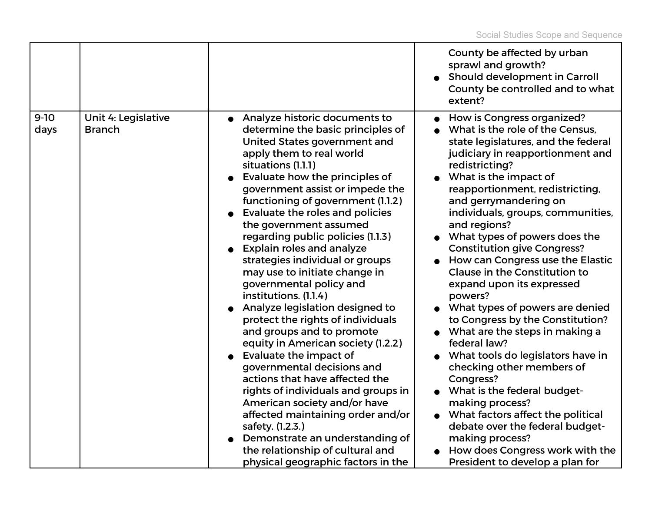|                |                                      |                                                                                                                                                                                                                                                                                                                                                                                                                                                                                                                                                                                                                                                                                                                                                                                                                                                                                                                                                                                                                  | County be affected by urban<br>sprawl and growth?<br>Should development in Carroll<br>County be controlled and to what<br>extent?                                                                                                                                                                                                                                                                                                                                                                                                                                                                                                                                                                                                                                                                                                                                                                                                         |
|----------------|--------------------------------------|------------------------------------------------------------------------------------------------------------------------------------------------------------------------------------------------------------------------------------------------------------------------------------------------------------------------------------------------------------------------------------------------------------------------------------------------------------------------------------------------------------------------------------------------------------------------------------------------------------------------------------------------------------------------------------------------------------------------------------------------------------------------------------------------------------------------------------------------------------------------------------------------------------------------------------------------------------------------------------------------------------------|-------------------------------------------------------------------------------------------------------------------------------------------------------------------------------------------------------------------------------------------------------------------------------------------------------------------------------------------------------------------------------------------------------------------------------------------------------------------------------------------------------------------------------------------------------------------------------------------------------------------------------------------------------------------------------------------------------------------------------------------------------------------------------------------------------------------------------------------------------------------------------------------------------------------------------------------|
| $9-10$<br>days | Unit 4: Legislative<br><b>Branch</b> | • Analyze historic documents to<br>determine the basic principles of<br>United States government and<br>apply them to real world<br>situations (1.1.1)<br>Evaluate how the principles of<br>government assist or impede the<br>functioning of government (1.1.2)<br>Evaluate the roles and policies<br>the government assumed<br>regarding public policies (1.1.3)<br><b>Explain roles and analyze</b><br>strategies individual or groups<br>may use to initiate change in<br>governmental policy and<br>institutions. (1.1.4)<br>Analyze legislation designed to<br>protect the rights of individuals<br>and groups and to promote<br>equity in American society (1.2.2)<br>Evaluate the impact of<br>governmental decisions and<br>actions that have affected the<br>rights of individuals and groups in<br>American society and/or have<br>affected maintaining order and/or<br>safety. (1.2.3.)<br>Demonstrate an understanding of<br>the relationship of cultural and<br>physical geographic factors in the | How is Congress organized?<br>What is the role of the Census.<br>state legislatures, and the federal<br>judiciary in reapportionment and<br>redistricting?<br>What is the impact of<br>reapportionment, redistricting,<br>and gerrymandering on<br>individuals, groups, communities,<br>and regions?<br>What types of powers does the<br><b>Constitution give Congress?</b><br>How can Congress use the Elastic<br><b>Clause in the Constitution to</b><br>expand upon its expressed<br>powers?<br>• What types of powers are denied<br>to Congress by the Constitution?<br>What are the steps in making a<br>federal law?<br>What tools do legislators have in<br>checking other members of<br>Congress?<br>What is the federal budget-<br>making process?<br>What factors affect the political<br>$\bullet$<br>debate over the federal budget-<br>making process?<br>How does Congress work with the<br>President to develop a plan for |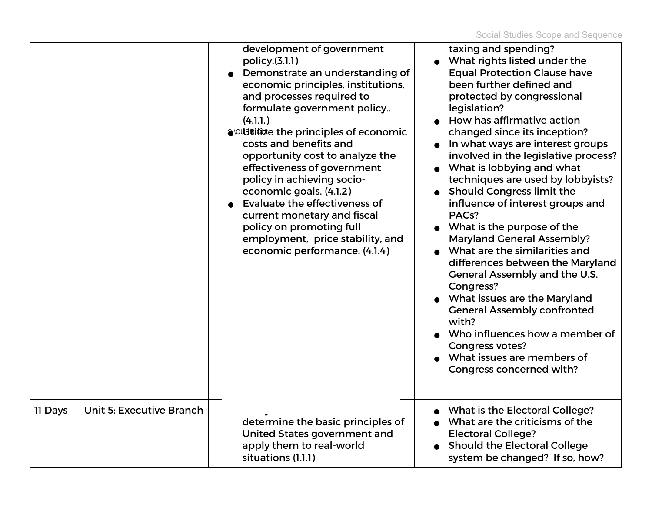|         |                                 | development of government<br>policy.(3.1.1)<br>Demonstrate an understanding of<br>economic principles, institutions,<br>and processes required to<br>formulate government policy<br>(4.1.1)<br>SCUBRICIZE the principles of economic<br>costs and benefits and<br>opportunity cost to analyze the<br>effectiveness of government<br>policy in achieving socio-<br>economic goals. (4.1.2)<br>Evaluate the effectiveness of<br>current monetary and fiscal<br>policy on promoting full<br>employment, price stability, and<br>economic performance. (4.1.4) | taxing and spending?<br>What rights listed under the<br><b>Equal Protection Clause have</b><br>been further defined and<br>protected by congressional<br>legislation?<br>How has affirmative action<br>changed since its inception?<br>In what ways are interest groups<br>involved in the legislative process?<br>What is lobbying and what<br>techniques are used by lobbyists?<br>Should Congress limit the<br>influence of interest groups and<br>PACs?<br>What is the purpose of the<br><b>Maryland General Assembly?</b><br>What are the similarities and<br>differences between the Maryland<br>General Assembly and the U.S.<br>Congress?<br>What issues are the Maryland<br><b>General Assembly confronted</b><br>with?<br>Who influences how a member of<br><b>Congress votes?</b><br>What issues are members of<br>Congress concerned with? |
|---------|---------------------------------|------------------------------------------------------------------------------------------------------------------------------------------------------------------------------------------------------------------------------------------------------------------------------------------------------------------------------------------------------------------------------------------------------------------------------------------------------------------------------------------------------------------------------------------------------------|--------------------------------------------------------------------------------------------------------------------------------------------------------------------------------------------------------------------------------------------------------------------------------------------------------------------------------------------------------------------------------------------------------------------------------------------------------------------------------------------------------------------------------------------------------------------------------------------------------------------------------------------------------------------------------------------------------------------------------------------------------------------------------------------------------------------------------------------------------|
| 11 Days | <b>Unit 5: Executive Branch</b> | determine the basic principles of<br>United States government and<br>apply them to real-world<br>situations (1.1.1)                                                                                                                                                                                                                                                                                                                                                                                                                                        | <b>What is the Electoral College?</b><br>What are the criticisms of the<br><b>Electoral College?</b><br><b>Should the Electoral College</b><br>system be changed? If so, how?                                                                                                                                                                                                                                                                                                                                                                                                                                                                                                                                                                                                                                                                          |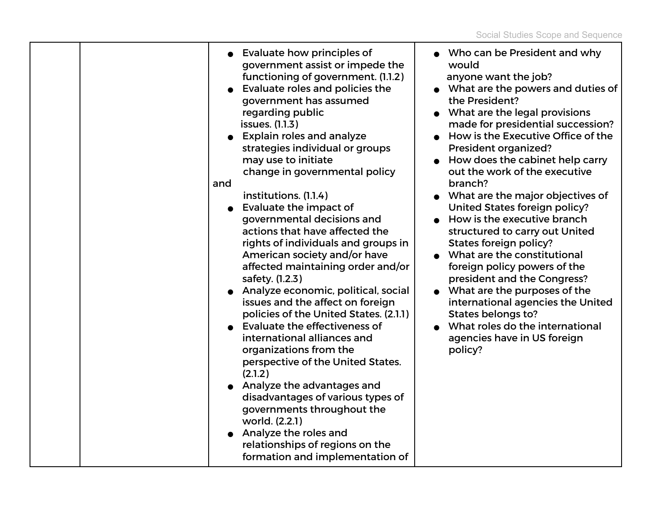|  | <b>Evaluate how principles of</b><br>government assist or impede the<br>functioning of government. (1.1.2)<br>Evaluate roles and policies the<br>government has assumed<br>regarding public<br>issues. (1.1.3)<br><b>Explain roles and analyze</b><br>strategies individual or groups<br>may use to initiate<br>change in governmental policy<br>and<br>institutions. (1.1.4)<br><b>Evaluate the impact of</b><br>governmental decisions and<br>actions that have affected the<br>rights of individuals and groups in<br>American society and/or have<br>affected maintaining order and/or<br>safety. (1.2.3)<br>Analyze economic, political, social<br>issues and the affect on foreign<br>policies of the United States. (2.1.1)<br>Evaluate the effectiveness of<br>international alliances and<br>organizations from the<br>perspective of the United States.<br>(2.1.2)<br>Analyze the advantages and<br>disadvantages of various types of<br>governments throughout the<br>world. (2.2.1)<br>Analyze the roles and<br>relationships of regions on the<br>formation and implementation of | • Who can be President and why<br>would<br>anyone want the job?<br>What are the powers and duties of<br>the President?<br>What are the legal provisions<br>made for presidential succession?<br>How is the Executive Office of the<br>President organized?<br>• How does the cabinet help carry<br>out the work of the executive<br>branch?<br>What are the major objectives of<br>United States foreign policy?<br>How is the executive branch<br>structured to carry out United<br>States foreign policy?<br>• What are the constitutional<br>foreign policy powers of the<br>president and the Congress?<br>What are the purposes of the<br>international agencies the United<br>States belongs to?<br>What roles do the international<br>agencies have in US foreign<br>policy? |
|--|------------------------------------------------------------------------------------------------------------------------------------------------------------------------------------------------------------------------------------------------------------------------------------------------------------------------------------------------------------------------------------------------------------------------------------------------------------------------------------------------------------------------------------------------------------------------------------------------------------------------------------------------------------------------------------------------------------------------------------------------------------------------------------------------------------------------------------------------------------------------------------------------------------------------------------------------------------------------------------------------------------------------------------------------------------------------------------------------|-------------------------------------------------------------------------------------------------------------------------------------------------------------------------------------------------------------------------------------------------------------------------------------------------------------------------------------------------------------------------------------------------------------------------------------------------------------------------------------------------------------------------------------------------------------------------------------------------------------------------------------------------------------------------------------------------------------------------------------------------------------------------------------|
|--|------------------------------------------------------------------------------------------------------------------------------------------------------------------------------------------------------------------------------------------------------------------------------------------------------------------------------------------------------------------------------------------------------------------------------------------------------------------------------------------------------------------------------------------------------------------------------------------------------------------------------------------------------------------------------------------------------------------------------------------------------------------------------------------------------------------------------------------------------------------------------------------------------------------------------------------------------------------------------------------------------------------------------------------------------------------------------------------------|-------------------------------------------------------------------------------------------------------------------------------------------------------------------------------------------------------------------------------------------------------------------------------------------------------------------------------------------------------------------------------------------------------------------------------------------------------------------------------------------------------------------------------------------------------------------------------------------------------------------------------------------------------------------------------------------------------------------------------------------------------------------------------------|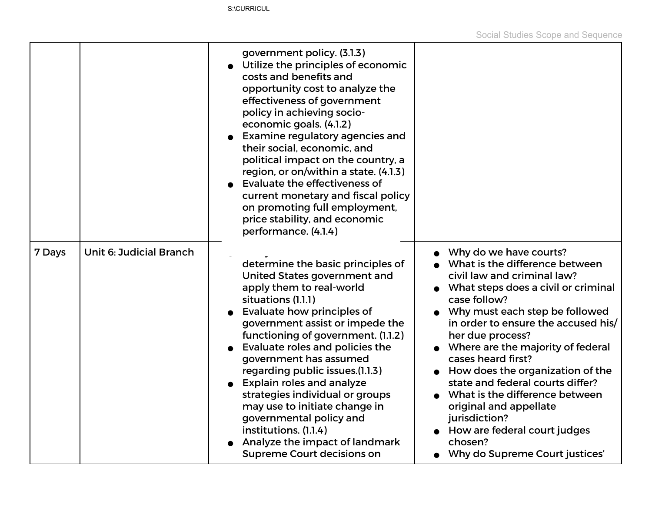|        |                                | government policy. (3.1.3)<br>Utilize the principles of economic<br>costs and benefits and<br>opportunity cost to analyze the<br>effectiveness of government<br>policy in achieving socio-<br>economic goals. (4.1.2)<br><b>Examine regulatory agencies and</b><br>their social, economic, and<br>political impact on the country, a<br>region, or on/within a state. (4.1.3)<br>Evaluate the effectiveness of<br>current monetary and fiscal policy<br>on promoting full employment,<br>price stability, and economic<br>performance. (4.1.4)                |                                                                                                                                                                                                                                                                                                                                                                                                                                                                                                                                            |
|--------|--------------------------------|---------------------------------------------------------------------------------------------------------------------------------------------------------------------------------------------------------------------------------------------------------------------------------------------------------------------------------------------------------------------------------------------------------------------------------------------------------------------------------------------------------------------------------------------------------------|--------------------------------------------------------------------------------------------------------------------------------------------------------------------------------------------------------------------------------------------------------------------------------------------------------------------------------------------------------------------------------------------------------------------------------------------------------------------------------------------------------------------------------------------|
| 7 Days | <b>Unit 6: Judicial Branch</b> | determine the basic principles of<br>United States government and<br>apply them to real-world<br>situations (1.1.1)<br>Evaluate how principles of<br>government assist or impede the<br>functioning of government. (1.1.2)<br>Evaluate roles and policies the<br>government has assumed<br>regarding public issues.(1.1.3)<br><b>Explain roles and analyze</b><br>strategies individual or groups<br>may use to initiate change in<br>governmental policy and<br>institutions. (1.1.4)<br>Analyze the impact of landmark<br><b>Supreme Court decisions on</b> | Why do we have courts?<br>What is the difference between<br>civil law and criminal law?<br>• What steps does a civil or criminal<br>case follow?<br>Why must each step be followed<br>in order to ensure the accused his/<br>her due process?<br>Where are the majority of federal<br>cases heard first?<br>How does the organization of the<br>state and federal courts differ?<br>What is the difference between<br>original and appellate<br>jurisdiction?<br>How are federal court judges<br>chosen?<br>Why do Supreme Court justices' |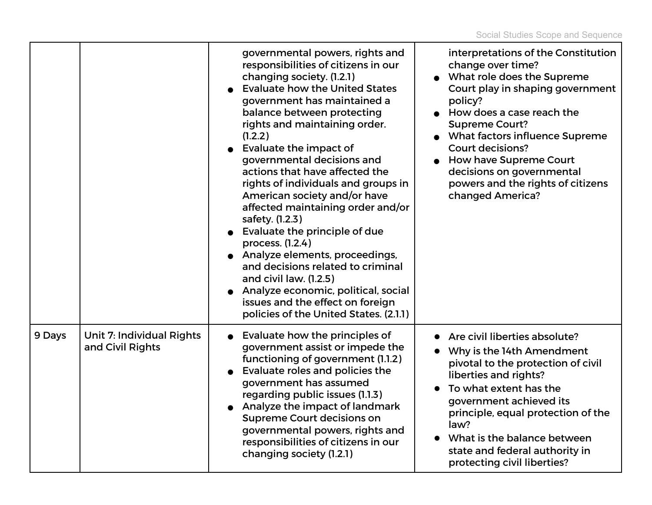|        |                                                      | governmental powers, rights and<br>responsibilities of citizens in our<br>changing society. (1.2.1)<br><b>Evaluate how the United States</b><br>government has maintained a<br>balance between protecting<br>rights and maintaining order.<br>(1.2.2)<br>Evaluate the impact of<br>governmental decisions and<br>actions that have affected the<br>rights of individuals and groups in<br>American society and/or have<br>affected maintaining order and/or<br>safety. (1.2.3)<br>Evaluate the principle of due<br>process. (1.2.4)<br>• Analyze elements, proceedings,<br>and decisions related to criminal<br>and civil law. (1.2.5)<br>Analyze economic, political, social<br>issues and the effect on foreign<br>policies of the United States. (2.1.1) | interpretations of the Constitution<br>change over time?<br>What role does the Supreme<br>Court play in shaping government<br>policy?<br>How does a case reach the<br><b>Supreme Court?</b><br>• What factors influence Supreme<br><b>Court decisions?</b><br><b>How have Supreme Court</b><br>decisions on governmental<br>powers and the rights of citizens<br>changed America? |
|--------|------------------------------------------------------|-------------------------------------------------------------------------------------------------------------------------------------------------------------------------------------------------------------------------------------------------------------------------------------------------------------------------------------------------------------------------------------------------------------------------------------------------------------------------------------------------------------------------------------------------------------------------------------------------------------------------------------------------------------------------------------------------------------------------------------------------------------|-----------------------------------------------------------------------------------------------------------------------------------------------------------------------------------------------------------------------------------------------------------------------------------------------------------------------------------------------------------------------------------|
| 9 Days | <b>Unit 7: Individual Rights</b><br>and Civil Rights | Evaluate how the principles of<br>government assist or impede the<br>functioning of government (1.1.2)<br>Evaluate roles and policies the<br>government has assumed<br>regarding public issues (1.1.3)<br>• Analyze the impact of landmark<br><b>Supreme Court decisions on</b><br>governmental powers, rights and<br>responsibilities of citizens in our<br>changing society (1.2.1)                                                                                                                                                                                                                                                                                                                                                                       | Are civil liberties absolute?<br>$\bullet$<br>Why is the 14th Amendment<br>pivotal to the protection of civil<br>liberties and rights?<br>To what extent has the<br>government achieved its<br>principle, equal protection of the<br>law?<br>What is the balance between<br>state and federal authority in<br>protecting civil liberties?                                         |